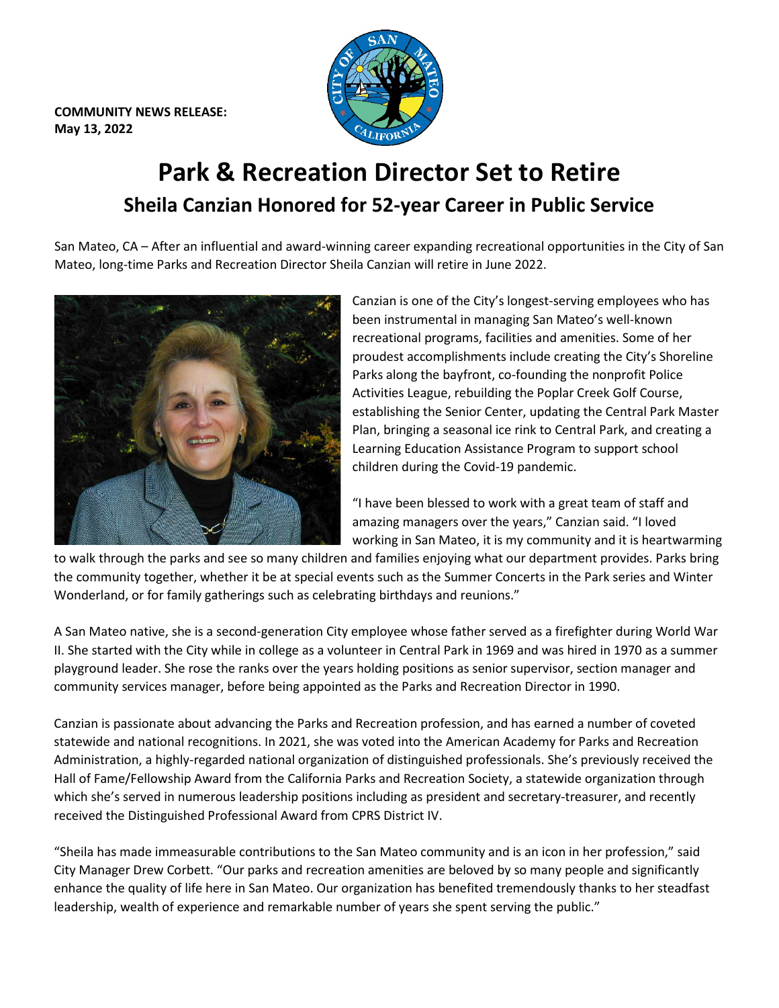**COMMUNITY NEWS RELEASE: May 13, 2022**



## **Park & Recreation Director Set to Retire Sheila Canzian Honored for 52-year Career in Public Service**

San Mateo, CA – After an influential and award-winning career expanding recreational opportunities in the City of San Mateo, long-time Parks and Recreation Director Sheila Canzian will retire in June 2022.



Canzian is one of the City's longest-serving employees who has been instrumental in managing San Mateo's well-known recreational programs, facilities and amenities. Some of her proudest accomplishments include creating the City's Shoreline Parks along the bayfront, co-founding the nonprofit Police Activities League, rebuilding the Poplar Creek Golf Course, establishing the Senior Center, updating the Central Park Master Plan, bringing a seasonal ice rink to Central Park, and creating a Learning Education Assistance Program to support school children during the Covid-19 pandemic.

"I have been blessed to work with a great team of staff and amazing managers over the years," Canzian said. "I loved working in San Mateo, it is my community and it is heartwarming

to walk through the parks and see so many children and families enjoying what our department provides. Parks bring the community together, whether it be at special events such as the Summer Concerts in the Park series and Winter Wonderland, or for family gatherings such as celebrating birthdays and reunions."

A San Mateo native, she is a second-generation City employee whose father served as a firefighter during World War II. She started with the City while in college as a volunteer in Central Park in 1969 and was hired in 1970 as a summer playground leader. She rose the ranks over the years holding positions as senior supervisor, section manager and community services manager, before being appointed as the Parks and Recreation Director in 1990.

Canzian is passionate about advancing the Parks and Recreation profession, and has earned a number of coveted statewide and national recognitions. In 2021, she was voted into the American Academy for Parks and Recreation Administration, a highly-regarded national organization of distinguished professionals. She's previously received the Hall of Fame/Fellowship Award from the California Parks and Recreation Society, a statewide organization through which she's served in numerous leadership positions including as president and secretary-treasurer, and recently received the Distinguished Professional Award from CPRS District IV.

"Sheila has made immeasurable contributions to the San Mateo community and is an icon in her profession," said City Manager Drew Corbett. "Our parks and recreation amenities are beloved by so many people and significantly enhance the quality of life here in San Mateo. Our organization has benefited tremendously thanks to her steadfast leadership, wealth of experience and remarkable number of years she spent serving the public."